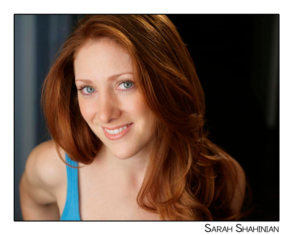